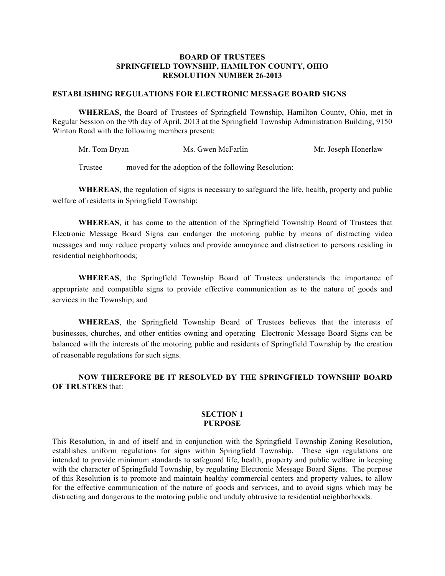### **BOARD OF TRUSTEES SPRINGFIELD TOWNSHIP, HAMILTON COUNTY, OHIO RESOLUTION NUMBER 26-2013**

### **ESTABLISHING REGULATIONS FOR ELECTRONIC MESSAGE BOARD SIGNS**

**WHEREAS,** the Board of Trustees of Springfield Township, Hamilton County, Ohio, met in Regular Session on the 9th day of April, 2013 at the Springfield Township Administration Building, 9150 Winton Road with the following members present:

Mr. Tom Bryan Ms. Gwen McFarlin Mr. Joseph Honerlaw

Trustee moved for the adoption of the following Resolution:

**WHEREAS**, the regulation of signs is necessary to safeguard the life, health, property and public welfare of residents in Springfield Township;

**WHEREAS**, it has come to the attention of the Springfield Township Board of Trustees that Electronic Message Board Signs can endanger the motoring public by means of distracting video messages and may reduce property values and provide annoyance and distraction to persons residing in residential neighborhoods;

**WHEREAS**, the Springfield Township Board of Trustees understands the importance of appropriate and compatible signs to provide effective communication as to the nature of goods and services in the Township; and

**WHEREAS**, the Springfield Township Board of Trustees believes that the interests of businesses, churches, and other entities owning and operating Electronic Message Board Signs can be balanced with the interests of the motoring public and residents of Springfield Township by the creation of reasonable regulations for such signs.

**NOW THEREFORE BE IT RESOLVED BY THE SPRINGFIELD TOWNSHIP BOARD OF TRUSTEES** that:

#### **SECTION 1 PURPOSE**

This Resolution, in and of itself and in conjunction with the Springfield Township Zoning Resolution, establishes uniform regulations for signs within Springfield Township. These sign regulations are intended to provide minimum standards to safeguard life, health, property and public welfare in keeping with the character of Springfield Township, by regulating Electronic Message Board Signs. The purpose of this Resolution is to promote and maintain healthy commercial centers and property values, to allow for the effective communication of the nature of goods and services, and to avoid signs which may be distracting and dangerous to the motoring public and unduly obtrusive to residential neighborhoods.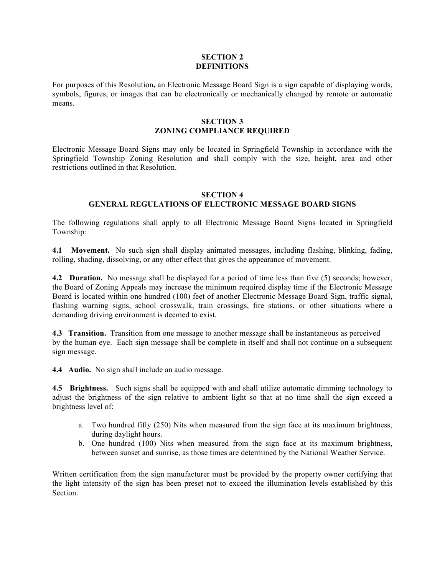## **SECTION 2 DEFINITIONS**

For purposes of this Resolution**,** an Electronic Message Board Sign is a sign capable of displaying words, symbols, figures, or images that can be electronically or mechanically changed by remote or automatic means.

### **SECTION 3 ZONING COMPLIANCE REQUIRED**

Electronic Message Board Signs may only be located in Springfield Township in accordance with the Springfield Township Zoning Resolution and shall comply with the size, height, area and other restrictions outlined in that Resolution.

# **SECTION 4**

# **GENERAL REGULATIONS OF ELECTRONIC MESSAGE BOARD SIGNS**

The following regulations shall apply to all Electronic Message Board Signs located in Springfield Township:

**4.1 Movement.** No such sign shall display animated messages, including flashing, blinking, fading, rolling, shading, dissolving, or any other effect that gives the appearance of movement.

**4.2 Duration.** No message shall be displayed for a period of time less than five (5) seconds; however, the Board of Zoning Appeals may increase the minimum required display time if the Electronic Message Board is located within one hundred (100) feet of another Electronic Message Board Sign, traffic signal, flashing warning signs, school crosswalk, train crossings, fire stations, or other situations where a demanding driving environment is deemed to exist.

**4.3 Transition.** Transition from one message to another message shall be instantaneous as perceived by the human eye. Each sign message shall be complete in itself and shall not continue on a subsequent sign message.

**4.4 Audio.** No sign shall include an audio message.

**4.5 Brightness.** Such signs shall be equipped with and shall utilize automatic dimming technology to adjust the brightness of the sign relative to ambient light so that at no time shall the sign exceed a brightness level of:

- a. Two hundred fifty (250) Nits when measured from the sign face at its maximum brightness, during daylight hours.
- b. One hundred (100) Nits when measured from the sign face at its maximum brightness, between sunset and sunrise, as those times are determined by the National Weather Service.

Written certification from the sign manufacturer must be provided by the property owner certifying that the light intensity of the sign has been preset not to exceed the illumination levels established by this Section.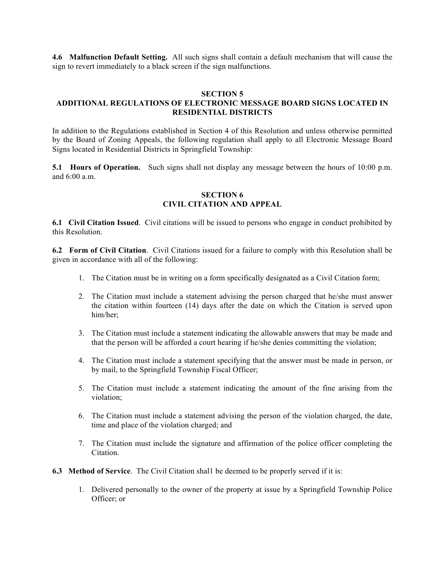**4.6 Malfunction Default Setting.** All such signs shall contain a default mechanism that will cause the sign to revert immediately to a black screen if the sign malfunctions.

### **SECTION 5**

# **ADDITIONAL REGULATIONS OF ELECTRONIC MESSAGE BOARD SIGNS LOCATED IN RESIDENTIAL DISTRICTS**

In addition to the Regulations established in Section 4 of this Resolution and unless otherwise permitted by the Board of Zoning Appeals, the following regulation shall apply to all Electronic Message Board Signs located in Residential Districts in Springfield Township:

**5.1 Hours of Operation.** Such signs shall not display any message between the hours of 10:00 p.m. and 6:00 a.m.

### **SECTION 6 CIVIL CITATION AND APPEAL**

**6.1 Civil Citation Issued**. Civil citations will be issued to persons who engage in conduct prohibited by this Resolution.

**6.2 Form of Civil Citation**. Civil Citations issued for a failure to comply with this Resolution shall be given in accordance with all of the following:

- 1. The Citation must be in writing on a form specifically designated as a Civil Citation form;
- 2. The Citation must include a statement advising the person charged that he/she must answer the citation within fourteen (14) days after the date on which the Citation is served upon him/her;
- 3. The Citation must include a statement indicating the allowable answers that may be made and that the person will be afforded a court hearing if he/she denies committing the violation;
- 4. The Citation must include a statement specifying that the answer must be made in person, or by mail, to the Springfield Township Fiscal Officer;
- 5. The Citation must include a statement indicating the amount of the fine arising from the violation;
- 6. The Citation must include a statement advising the person of the violation charged, the date, time and place of the violation charged; and
- 7. The Citation must include the signature and affirmation of the police officer completing the Citation.
- **6.3 Method of Service**. The Civil Citation shal1 be deemed to be properly served if it is:
	- 1. Delivered personally to the owner of the property at issue by a Springfield Township Police Officer; or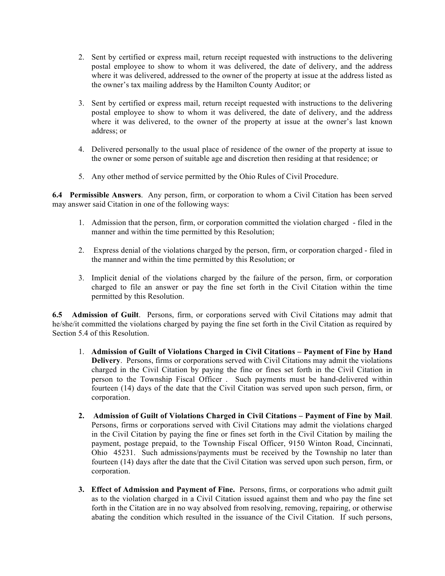- 2. Sent by certified or express mail, return receipt requested with instructions to the delivering postal employee to show to whom it was delivered, the date of delivery, and the address where it was delivered, addressed to the owner of the property at issue at the address listed as the owner's tax mailing address by the Hamilton County Auditor; or
- 3. Sent by certified or express mail, return receipt requested with instructions to the delivering postal employee to show to whom it was delivered, the date of delivery, and the address where it was delivered, to the owner of the property at issue at the owner's last known address; or
- 4. Delivered personally to the usual place of residence of the owner of the property at issue to the owner or some person of suitable age and discretion then residing at that residence; or
- 5. Any other method of service permitted by the Ohio Rules of Civil Procedure.

**6.4 Permissible Answers**. Any person, firm, or corporation to whom a Civil Citation has been served may answer said Citation in one of the following ways:

- 1. Admission that the person, firm, or corporation committed the violation charged filed in the manner and within the time permitted by this Resolution;
- 2. Express denial of the violations charged by the person, firm, or corporation charged filed in the manner and within the time permitted by this Resolution; or
- 3. Implicit denial of the violations charged by the failure of the person, firm, or corporation charged to file an answer or pay the fine set forth in the Civil Citation within the time permitted by this Resolution.

**6.5 Admission of Guilt**. Persons, firm, or corporations served with Civil Citations may admit that he/she/it committed the violations charged by paying the fine set forth in the Civil Citation as required by Section 5.4 of this Resolution.

- 1. **Admission of Guilt of Violations Charged in Civil Citations Payment of Fine by Hand Delivery**. Persons, firms or corporations served with Civil Citations may admit the violations charged in the Civil Citation by paying the fine or fines set forth in the Civil Citation in person to the Township Fiscal Officer . Such payments must be hand-delivered within fourteen (14) days of the date that the Civil Citation was served upon such person, firm, or corporation.
- **2. Admission of Guilt of Violations Charged in Civil Citations Payment of Fine by Mail**. Persons, firms or corporations served with Civil Citations may admit the violations charged in the Civil Citation by paying the fine or fines set forth in the Civil Citation by mailing the payment, postage prepaid, to the Township Fiscal Officer, 9150 Winton Road, Cincinnati, Ohio 45231. Such admissions/payments must be received by the Township no later than fourteen (14) days after the date that the Civil Citation was served upon such person, firm, or corporation.
- **3. Effect of Admission and Payment of Fine.** Persons, firms, or corporations who admit guilt as to the violation charged in a Civil Citation issued against them and who pay the fine set forth in the Citation are in no way absolved from resolving, removing, repairing, or otherwise abating the condition which resulted in the issuance of the Civil Citation. If such persons,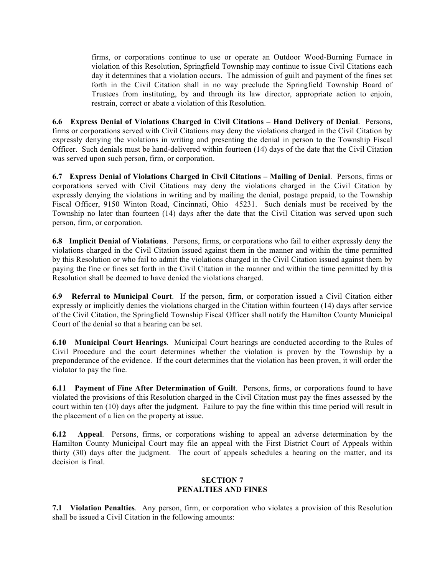firms, or corporations continue to use or operate an Outdoor Wood-Burning Furnace in violation of this Resolution, Springfield Township may continue to issue Civil Citations each day it determines that a violation occurs. The admission of guilt and payment of the fines set forth in the Civil Citation shall in no way preclude the Springfield Township Board of Trustees from instituting, by and through its law director, appropriate action to enjoin, restrain, correct or abate a violation of this Resolution.

**6.6 Express Denial of Violations Charged in Civil Citations – Hand Delivery of Denial**. Persons, firms or corporations served with Civil Citations may deny the violations charged in the Civil Citation by expressly denying the violations in writing and presenting the denial in person to the Township Fiscal Officer. Such denials must be hand-delivered within fourteen (14) days of the date that the Civil Citation was served upon such person, firm, or corporation.

**6.7 Express Denial of Violations Charged in Civil Citations – Mailing of Denial**. Persons, firms or corporations served with Civil Citations may deny the violations charged in the Civil Citation by expressly denying the violations in writing and by mailing the denial, postage prepaid, to the Township Fiscal Officer, 9150 Winton Road, Cincinnati, Ohio 45231. Such denials must be received by the Township no later than fourteen (14) days after the date that the Civil Citation was served upon such person, firm, or corporation.

**6.8 Implicit Denial of Violations**. Persons, firms, or corporations who fail to either expressly deny the violations charged in the Civil Citation issued against them in the manner and within the time permitted by this Resolution or who fail to admit the violations charged in the Civil Citation issued against them by paying the fine or fines set forth in the Civil Citation in the manner and within the time permitted by this Resolution shall be deemed to have denied the violations charged.

**6.9 Referral to Municipal Court**. If the person, firm, or corporation issued a Civil Citation either expressly or implicitly denies the violations charged in the Citation within fourteen (14) days after service of the Civil Citation, the Springfield Township Fiscal Officer shall notify the Hamilton County Municipal Court of the denial so that a hearing can be set.

**6.10 Municipal Court Hearings**. Municipal Court hearings are conducted according to the Rules of Civil Procedure and the court determines whether the violation is proven by the Township by a preponderance of the evidence. If the court determines that the violation has been proven, it will order the violator to pay the fine.

**6.11 Payment of Fine After Determination of Guilt**. Persons, firms, or corporations found to have violated the provisions of this Resolution charged in the Civil Citation must pay the fines assessed by the court within ten (10) days after the judgment. Failure to pay the fine within this time period will result in the placement of a lien on the property at issue.

**6.12 Appeal**. Persons, firms, or corporations wishing to appeal an adverse determination by the Hamilton County Municipal Court may file an appeal with the First District Court of Appeals within thirty (30) days after the judgment. The court of appeals schedules a hearing on the matter, and its decision is final.

# **SECTION 7 PENALTIES AND FINES**

**7.1 Violation Penalties**. Any person, firm, or corporation who violates a provision of this Resolution shall be issued a Civil Citation in the following amounts: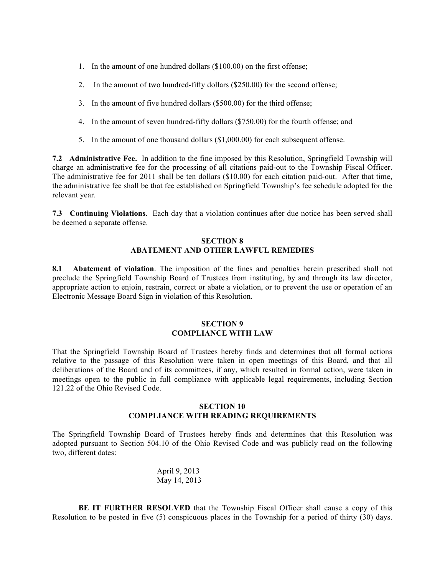- 1. In the amount of one hundred dollars (\$100.00) on the first offense;
- 2. In the amount of two hundred-fifty dollars (\$250.00) for the second offense;
- 3. In the amount of five hundred dollars (\$500.00) for the third offense;
- 4. In the amount of seven hundred-fifty dollars (\$750.00) for the fourth offense; and
- 5. In the amount of one thousand dollars (\$1,000.00) for each subsequent offense.

**7.2 Administrative Fee.** In addition to the fine imposed by this Resolution, Springfield Township will charge an administrative fee for the processing of all citations paid-out to the Township Fiscal Officer. The administrative fee for 2011 shall be ten dollars (\$10.00) for each citation paid-out. After that time, the administrative fee shall be that fee established on Springfield Township's fee schedule adopted for the relevant year.

**7.3 Continuing Violations**. Each day that a violation continues after due notice has been served shall be deemed a separate offense.

## **SECTION 8 ABATEMENT AND OTHER LAWFUL REMEDIES**

**8.1 Abatement of violation**. The imposition of the fines and penalties herein prescribed shall not preclude the Springfield Township Board of Trustees from instituting, by and through its law director, appropriate action to enjoin, restrain, correct or abate a violation, or to prevent the use or operation of an Electronic Message Board Sign in violation of this Resolution.

## **SECTION 9 COMPLIANCE WITH LAW**

That the Springfield Township Board of Trustees hereby finds and determines that all formal actions relative to the passage of this Resolution were taken in open meetings of this Board, and that all deliberations of the Board and of its committees, if any, which resulted in formal action, were taken in meetings open to the public in full compliance with applicable legal requirements, including Section 121.22 of the Ohio Revised Code.

## **SECTION 10 COMPLIANCE WITH READING REQUIREMENTS**

The Springfield Township Board of Trustees hereby finds and determines that this Resolution was adopted pursuant to Section 504.10 of the Ohio Revised Code and was publicly read on the following two, different dates:

> April 9, 2013 May 14, 2013

**BE IT FURTHER RESOLVED** that the Township Fiscal Officer shall cause a copy of this Resolution to be posted in five (5) conspicuous places in the Township for a period of thirty (30) days.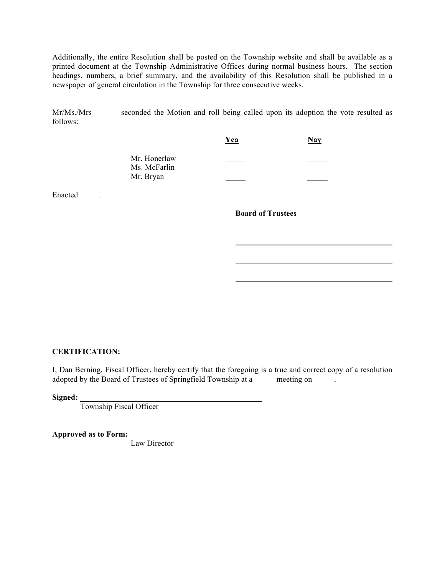Additionally, the entire Resolution shall be posted on the Township website and shall be available as a printed document at the Township Administrative Offices during normal business hours. The section headings, numbers, a brief summary, and the availability of this Resolution shall be published in a newspaper of general circulation in the Township for three consecutive weeks.

Mr/Ms./Mrs seconded the Motion and roll being called upon its adoption the vote resulted as follows:

|                              | Yea | <b>Nay</b> |
|------------------------------|-----|------------|
| Mr. Honerlaw<br>Ms. McFarlin |     |            |
| Mr. Bryan                    |     |            |

Enacted .

**Board of Trustees**

#### **CERTIFICATION:**

I, Dan Berning, Fiscal Officer, hereby certify that the foregoing is a true and correct copy of a resolution adopted by the Board of Trustees of Springfield Township at a meeting on .

**Signed:** 

Township Fiscal Officer

**Approved as to Form:**

Law Director